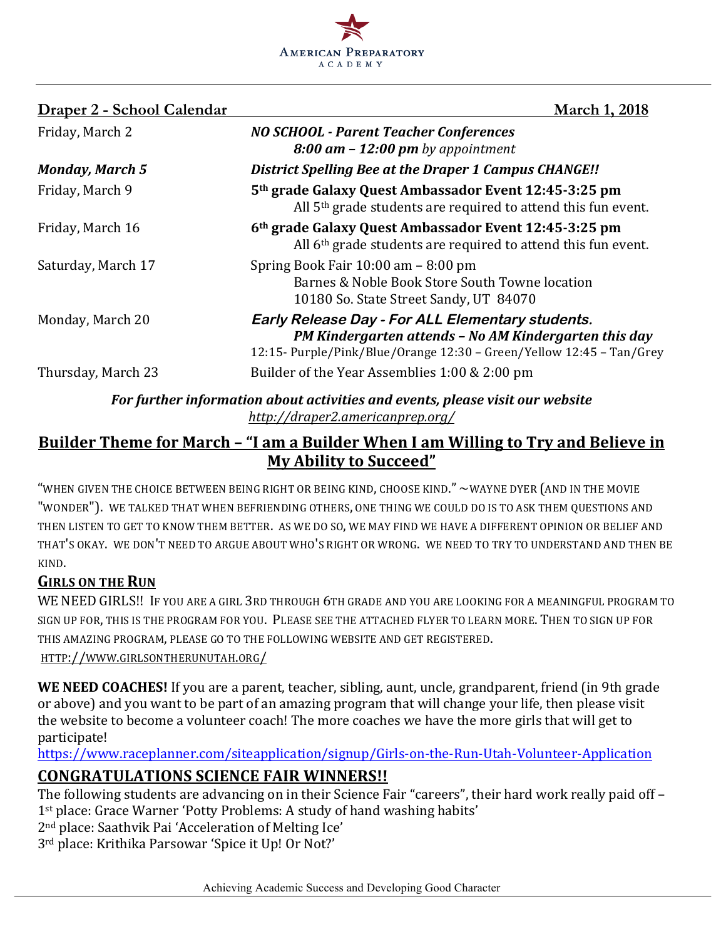

| Draper 2 - School Calendar | <b>March 1, 2018</b>                                                                                                                                                              |
|----------------------------|-----------------------------------------------------------------------------------------------------------------------------------------------------------------------------------|
| Friday, March 2            | <b>NO SCHOOL - Parent Teacher Conferences</b><br>$8:00$ am $-12:00$ pm by appointment                                                                                             |
| <b>Monday, March 5</b>     | <b>District Spelling Bee at the Draper 1 Campus CHANGE!!</b>                                                                                                                      |
| Friday, March 9            | 5 <sup>th</sup> grade Galaxy Quest Ambassador Event 12:45-3:25 pm<br>All 5 <sup>th</sup> grade students are required to attend this fun event.                                    |
| Friday, March 16           | 6th grade Galaxy Quest Ambassador Event 12:45-3:25 pm<br>All 6 <sup>th</sup> grade students are required to attend this fun event.                                                |
| Saturday, March 17         | Spring Book Fair $10:00$ am $-8:00$ pm<br>Barnes & Noble Book Store South Towne location<br>10180 So. State Street Sandy, UT 84070                                                |
| Monday, March 20           | Early Release Day - For ALL Elementary students.<br>PM Kindergarten attends - No AM Kindergarten this day<br>12:15- Purple/Pink/Blue/Orange 12:30 - Green/Yellow 12:45 - Tan/Grey |
| Thursday, March 23         | Builder of the Year Assemblies 1:00 & 2:00 pm                                                                                                                                     |
|                            | For further information about activities and events, please visit our website                                                                                                     |

# *http://draper2.americanprep.org/*

# **Builder Theme for March – "I am a Builder When I am Willing to Try and Believe in My Ability to Succeed"**

"WHEN GIVEN THE CHOICE BETWEEN BEING RIGHT OR BEING KIND, CHOOSE KIND."  $\sim$ WAYNE DYER (AND IN THE MOVIE "WONDER"). WE TALKED THAT WHEN BEFRIENDING OTHERS, ONE THING WE COULD DO IS TO ASK THEM OUESTIONS AND THEN LISTEN TO GET TO KNOW THEM BETTER. AS WE DO SO, WE MAY FIND WE HAVE A DIFFERENT OPINION OR BELIEF AND THAT'S OKAY. WE DON'T NEED TO ARGUE ABOUT WHO'S RIGHT OR WRONG. WE NEED TO TRY TO UNDERSTAND AND THEN BE KIND.

## **GIRLS ON THE RUN**

WE NEED GIRLS!! IF YOU ARE A GIRL 3RD THROUGH 6TH GRADE AND YOU ARE LOOKING FOR A MEANINGFUL PROGRAM TO SIGN UP FOR, THIS IS THE PROGRAM FOR YOU. PLEASE SEE THE ATTACHED FLYER TO LEARN MORE. THEN TO SIGN UP FOR THIS AMAZING PROGRAM, PLEASE GO TO THE FOLLOWING WEBSITE AND GET REGISTERED.

HTTP://WWW.GIRLSONTHERUNUTAH.ORG/

**WE NEED COACHES!** If you are a parent, teacher, sibling, aunt, uncle, grandparent, friend (in 9th grade or above) and you want to be part of an amazing program that will change your life, then please visit the website to become a volunteer coach! The more coaches we have the more girls that will get to participate!

https://www.raceplanner.com/siteapplication/signup/Girls-on-the-Run-Utah-Volunteer-Application

# **CONGRATULATIONS SCIENCE FAIR WINNERS!!**

The following students are advancing on in their Science Fair "careers", their hard work really paid off -1<sup>st</sup> place: Grace Warner 'Potty Problems: A study of hand washing habits'

2<sup>nd</sup> place: Saathvik Pai 'Acceleration of Melting Ice'

3<sup>rd</sup> place: Krithika Parsowar 'Spice it Up! Or Not?'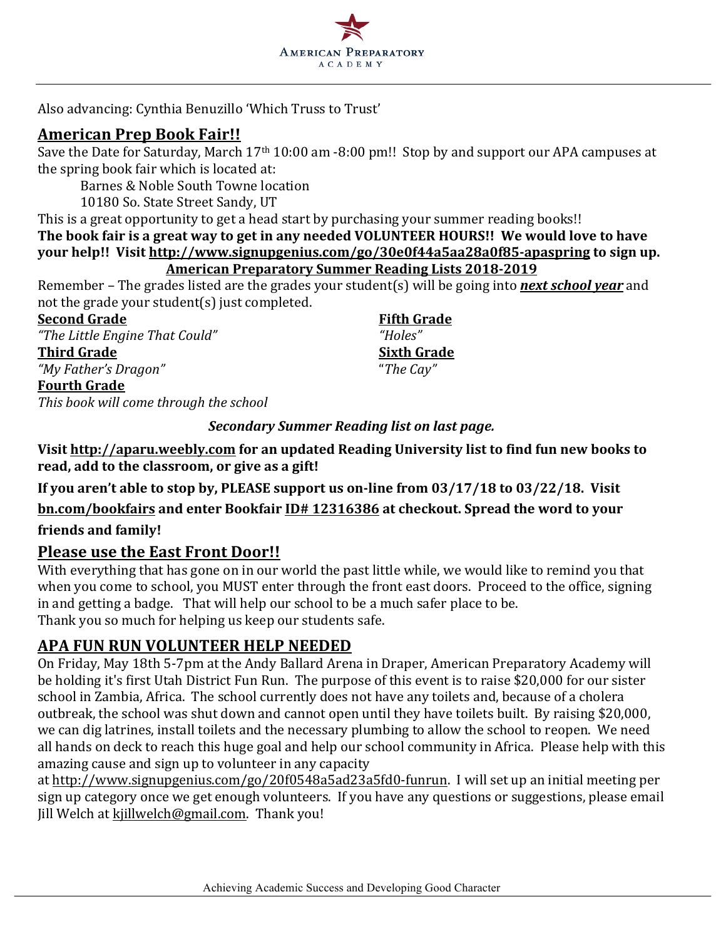

Also advancing: Cynthia Benuzillo 'Which Truss to Trust'

#### **American Prep Book Fair!!**

Save the Date for Saturday, March 17<sup>th</sup> 10:00 am -8:00 pm!! Stop by and support our APA campuses at the spring book fair which is located at:

Barnes & Noble South Towne location

10180 So. State Street Sandy, UT

This is a great opportunity to get a head start by purchasing your summer reading books!! The book fair is a great way to get in any needed VOLUNTEER HOURS!! We would love to have your help!! Visit http://www.signupgenius.com/go/30e0f44a5aa28a0f85-apaspring to sign up. **American Preparatory Summer Reading Lists 2018-2019**

Remember – The grades listed are the grades your student(s) will be going into **next school year** and not the grade your student(s) just completed.

**Second Grade Fifth Grade** *"The Little Engine That Could" "Holes"* **Third Grade Sixth Grade** *"My Father's Dragon"* "*The Cay"*

#### **Fourth Grade**

This book will come through the school

#### *Secondary Summer Reading list on last page.*

Visit http://aparu.weebly.com for an updated Reading University list to find fun new books to read, add to the classroom, or give as a gift!

**If you aren't able to stop by, PLEASE support us on-line from 03/17/18 to 03/22/18. Visit bn.com/bookfairs and enter Bookfair ID# 12316386 at checkout. Spread the word to your friends and family!**

## **Please use the East Front Door!!**

With everything that has gone on in our world the past little while, we would like to remind you that when you come to school, you MUST enter through the front east doors. Proceed to the office, signing in and getting a badge. That will help our school to be a much safer place to be. Thank you so much for helping us keep our students safe.

## **APA FUN RUN VOLUNTEER HELP NEEDED**

On Friday, May 18th 5-7pm at the Andy Ballard Arena in Draper, American Preparatory Academy will be holding it's first Utah District Fun Run. The purpose of this event is to raise \$20,000 for our sister school in Zambia, Africa. The school currently does not have any toilets and, because of a cholera outbreak, the school was shut down and cannot open until they have toilets built. By raising \$20,000, we can dig latrines, install toilets and the necessary plumbing to allow the school to reopen. We need all hands on deck to reach this huge goal and help our school community in Africa. Please help with this amazing cause and sign up to volunteer in any capacity

at http://www.signupgenius.com/go/20f0548a5ad23a5fd0-funrun. I will set up an initial meeting per sign up category once we get enough volunteers. If you have any questions or suggestions, please email Jill Welch at kjillwelch@gmail.com. Thank you!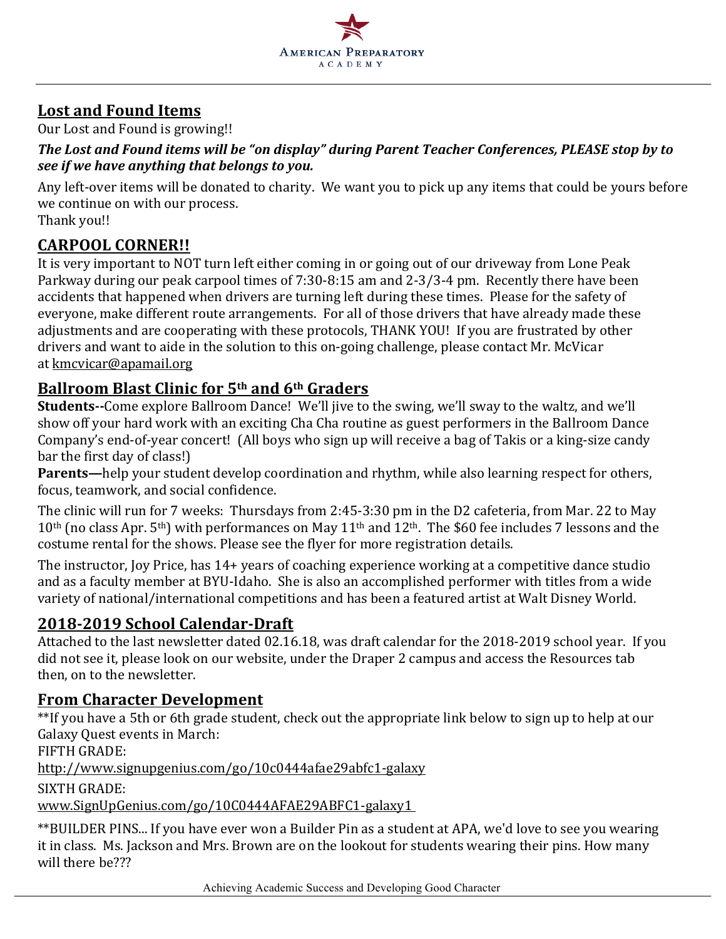

# **Lost and Found Items**

Our Lost and Found is growing!!

#### The Lost and Found items will be "on display" during Parent Teacher Conferences, PLEASE stop by to *see if we have anything that belongs to you.*

Any left-over items will be donated to charity. We want you to pick up any items that could be yours before we continue on with our process.

Thank you!!

# **CARPOOL CORNER!!**

It is very important to NOT turn left either coming in or going out of our driveway from Lone Peak Parkway during our peak carpool times of 7:30-8:15 am and 2-3/3-4 pm. Recently there have been accidents that happened when drivers are turning left during these times. Please for the safety of everyone, make different route arrangements. For all of those drivers that have already made these adjustments and are cooperating with these protocols, THANK YOU! If you are frustrated by other drivers and want to aide in the solution to this on-going challenge, please contact Mr. McVicar at kmcvicar@apamail.org 

## **Ballroom Blast Clinic for 5th and 6th Graders**

**Students--**Come explore Ballroom Dance! We'll jive to the swing, we'll sway to the waltz, and we'll show off your hard work with an exciting Cha Cha routine as guest performers in the Ballroom Dance Company's end-of-year concert! (All boys who sign up will receive a bag of Takis or a king-size candy bar the first day of class!)

**Parents—**help your student develop coordination and rhythm, while also learning respect for others, focus, teamwork, and social confidence.

The clinic will run for 7 weeks: Thursdays from 2:45-3:30 pm in the D2 cafeteria, from Mar. 22 to May  $10<sup>th</sup>$  (no class Apr. 5<sup>th</sup>) with performances on May 11<sup>th</sup> and 12<sup>th</sup>. The \$60 fee includes 7 lessons and the costume rental for the shows. Please see the flyer for more registration details.

The instructor, Joy Price, has 14+ years of coaching experience working at a competitive dance studio and as a faculty member at BYU-Idaho. She is also an accomplished performer with titles from a wide variety of national/international competitions and has been a featured artist at Walt Disney World.

# **2018-2019 School Calendar-Draft**

Attached to the last newsletter dated 02.16.18, was draft calendar for the 2018-2019 school year. If you did not see it, please look on our website, under the Draper 2 campus and access the Resources tab then, on to the newsletter.

## **From Character Development**

\*\*If you have a 5th or 6th grade student, check out the appropriate link below to sign up to help at our Galaxy Ouest events in March:

FIFTH GRADE:

http://www.signupgenius.com/go/10c0444afae29abfc1-galaxy

SIXTH GRADE:

www.SignUpGenius.com/go/10C0444AFAE29ABFC1-galaxy1

\*\*BUILDER PINS... If you have ever won a Builder Pin as a student at APA, we'd love to see you wearing it in class. Ms. Jackson and Mrs. Brown are on the lookout for students wearing their pins. How many will there be???

Achieving Academic Success and Developing Good Character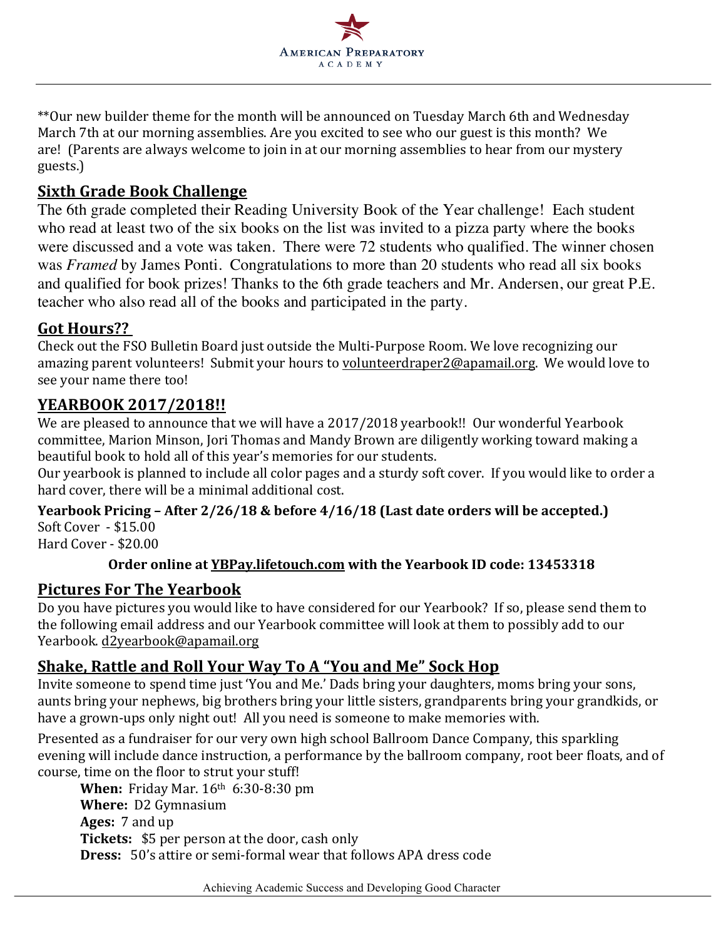

\*\*Our new builder theme for the month will be announced on Tuesday March 6th and Wednesday March 7th at our morning assemblies. Are you excited to see who our guest is this month? We are! (Parents are always welcome to join in at our morning assemblies to hear from our mystery guests.)

# **Sixth Grade Book Challenge**

The 6th grade completed their Reading University Book of the Year challenge! Each student who read at least two of the six books on the list was invited to a pizza party where the books were discussed and a vote was taken. There were 72 students who qualified. The winner chosen was *Framed* by James Ponti. Congratulations to more than 20 students who read all six books and qualified for book prizes! Thanks to the 6th grade teachers and Mr. Andersen, our great P.E. teacher who also read all of the books and participated in the party.

## **Got Hours??**

Check out the FSO Bulletin Board just outside the Multi-Purpose Room. We love recognizing our amazing parent volunteers! Submit your hours to volunteerdraper2@apamail.org. We would love to see your name there too!

## **YEARBOOK 2017/2018!!**

We are pleased to announce that we will have a 2017/2018 yearbook!! Our wonderful Yearbook committee, Marion Minson, Jori Thomas and Mandy Brown are diligently working toward making a beautiful book to hold all of this year's memories for our students.

Our yearbook is planned to include all color pages and a sturdy soft cover. If you would like to order a hard cover, there will be a minimal additional cost.

#### **Yearbook Pricing - After 2/26/18 & before 4/16/18 (Last date orders will be accepted.)**  $SoftCover - $15.00$

Hard Cover - \$20.00

## **Order online at YBPay.lifetouch.com** with the Yearbook ID code: 13453318

## **Pictures For The Yearbook**

Do you have pictures you would like to have considered for our Yearbook? If so, please send them to the following email address and our Yearbook committee will look at them to possibly add to our Yearbook. d2yearbook@apamail.org

# **Shake, Rattle and Roll Your Way To A "You and Me" Sock Hop**

Invite someone to spend time just 'You and Me.' Dads bring your daughters, moms bring your sons, aunts bring your nephews, big brothers bring your little sisters, grandparents bring your grandkids, or have a grown-ups only night out! All you need is someone to make memories with.

Presented as a fundraiser for our very own high school Ballroom Dance Company, this sparkling evening will include dance instruction, a performance by the ballroom company, root beer floats, and of course, time on the floor to strut your stuff!

**When:** Friday Mar. 16<sup>th</sup> 6:30-8:30 pm **Where:** D2 Gymnasium Ages: 7 and up **Tickets:** \$5 per person at the door, cash only **Dress:** 50's attire or semi-formal wear that follows APA dress code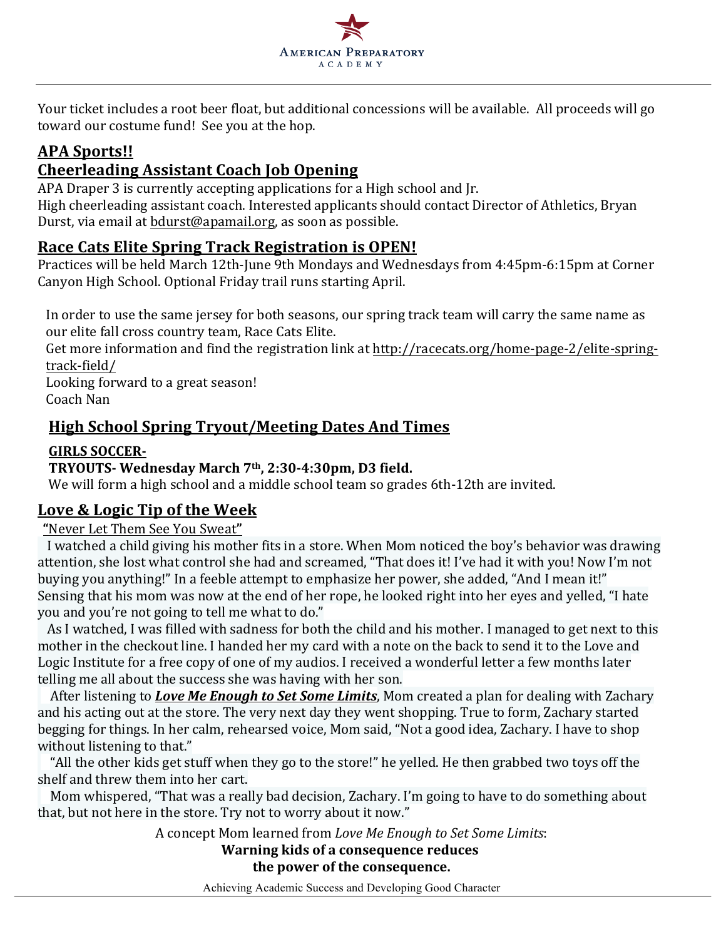

Your ticket includes a root beer float, but additional concessions will be available. All proceeds will go toward our costume fund! See you at the hop.

# **APA Sports!!**

# **Cheerleading Assistant Coach Job Opening**

APA Draper 3 is currently accepting applications for a High school and Jr. High cheerleading assistant coach. Interested applicants should contact Director of Athletics, Bryan Durst, via email at bdurst@apamail.org, as soon as possible.

# **Race Cats Elite Spring Track Registration is OPEN!**

Practices will be held March 12th-June 9th Mondays and Wednesdays from 4:45pm-6:15pm at Corner Canyon High School. Optional Friday trail runs starting April.

In order to use the same jersey for both seasons, our spring track team will carry the same name as our elite fall cross country team, Race Cats Elite.

Get more information and find the registration link at http://racecats.org/home-page-2/elite-springtrack-field/

Looking forward to a great season! Coach Nan

# **High School Spring Tryout/Meeting Dates And Times**

## **GIRLS SOCCER-**

## **TRYOUTS- Wednesday March 7th, 2:30-4:30pm, D3 field.**

We will form a high school and a middle school team so grades 6th-12th are invited.

## **Love & Logic Tip of the Week**

**"**Never Let Them See You Sweat**"**

I watched a child giving his mother fits in a store. When Mom noticed the boy's behavior was drawing attention, she lost what control she had and screamed, "That does it! I've had it with you! Now I'm not buying you anything!" In a feeble attempt to emphasize her power, she added, "And I mean it!" Sensing that his mom was now at the end of her rope, he looked right into her eyes and yelled, "I hate you and you're not going to tell me what to do."

As I watched, I was filled with sadness for both the child and his mother. I managed to get next to this mother in the checkout line. I handed her my card with a note on the back to send it to the Love and Logic Institute for a free copy of one of my audios. I received a wonderful letter a few months later telling me all about the success she was having with her son.

After listening to *Love Me Enough to Set Some Limits*, Mom created a plan for dealing with Zachary and his acting out at the store. The very next day they went shopping. True to form, Zachary started begging for things. In her calm, rehearsed voice, Mom said, "Not a good idea, Zachary. I have to shop without listening to that."

"All the other kids get stuff when they go to the store!" he yelled. He then grabbed two toys off the shelf and threw them into her cart.

Mom whispered, "That was a really bad decision, Zachary. I'm going to have to do something about that, but not here in the store. Try not to worry about it now."

A concept Mom learned from *Love Me Enough to Set Some Limits*:

#### **Warning kids of a consequence reduces the power of the consequence.**

Achieving Academic Success and Developing Good Character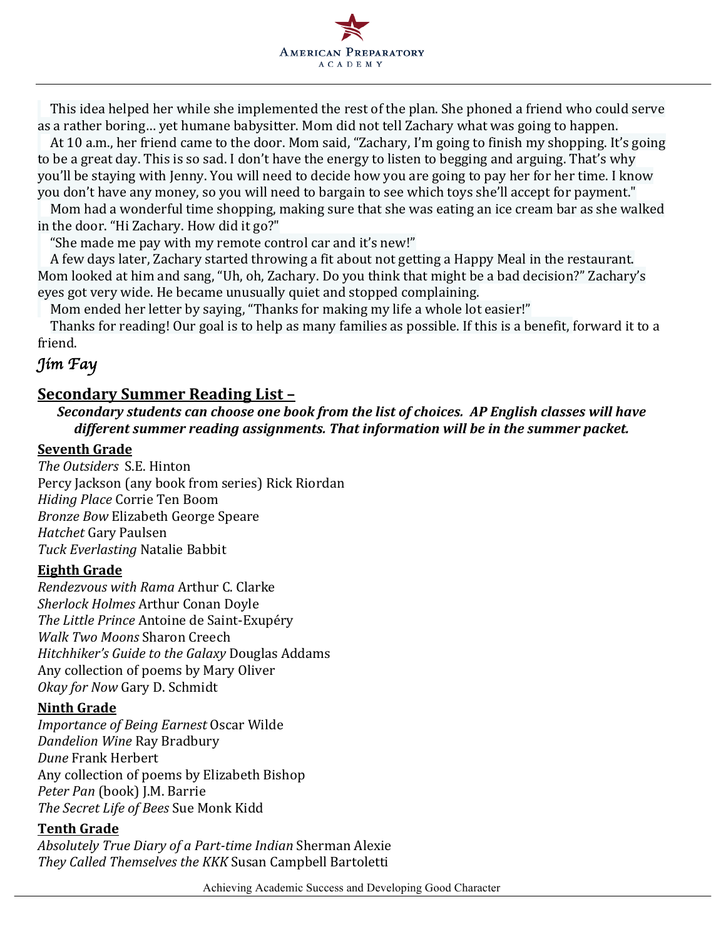

This idea helped her while she implemented the rest of the plan. She phoned a friend who could serve as a rather boring... yet humane babysitter. Mom did not tell Zachary what was going to happen.

At 10 a.m., her friend came to the door. Mom said, "Zachary, I'm going to finish my shopping. It's going to be a great day. This is so sad. I don't have the energy to listen to begging and arguing. That's why you'll be staying with Jenny. You will need to decide how you are going to pay her for her time. I know you don't have any money, so you will need to bargain to see which toys she'll accept for payment."

Mom had a wonderful time shopping, making sure that she was eating an ice cream bar as she walked in the door. "Hi Zachary. How did it go?"

"She made me pay with my remote control car and it's new!"

A few days later, Zachary started throwing a fit about not getting a Happy Meal in the restaurant. Mom looked at him and sang, "Uh, oh, Zachary. Do you think that might be a bad decision?" Zachary's eyes got very wide. He became unusually quiet and stopped complaining.

Mom ended her letter by saying, "Thanks for making my life a whole lot easier!"

Thanks for reading! Our goal is to help as many families as possible. If this is a benefit, forward it to a friend.

## *Jim Fay*

## **Secondary Summer Reading List –**

*Secondary students can choose one book from the list of choices. AP English classes will have different summer reading assignments. That information will be in the summer packet.* 

#### **Seventh Grade**

*The Outsiders* S.E. Hinton Percy Jackson (any book from series) Rick Riordan *Hiding Place* Corrie Ten Boom **Bronze Bow Elizabeth George Speare** *Hatchet* Gary Paulsen *Tuck Everlasting* Natalie Babbit

#### **Eighth Grade**

*Rendezvous with Rama* Arthur C. Clarke **Sherlock Holmes Arthur Conan Doyle The Little Prince Antoine de Saint-Exupéry** *Walk Two Moons* Sharon Creech *Hitchhiker's Guide to the Galaxy Douglas Addams* Any collection of poems by Mary Oliver *Okay for Now Gary D. Schmidt* 

#### **Ninth Grade**

*Importance of Being Earnest Oscar Wilde Dandelion Wine* Ray Bradbury *Dune* Frank Herbert Any collection of poems by Elizabeth Bishop Peter Pan (book) J.M. Barrie *The Secret Life of Bees* Sue Monk Kidd

#### **Tenth Grade**

*Absolutely True Diary of a Part-time Indian* Sherman Alexie *They Called Themselves the KKK* Susan Campbell Bartoletti